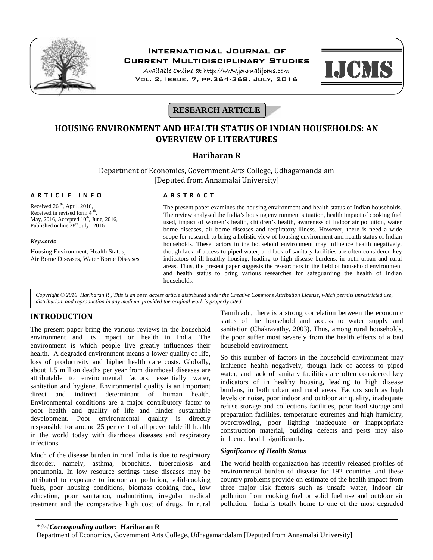

## **International Journal of Current Multidisciplinary Studies**

**Available Online at http://www.journalijcms.com** Vol. 2, Issue, 7, pp.364-368, July, 2016



# **RESEARCH ARTICLE**

# **HOUSING ENVIRONMENT AND HEALTH STATUS OF INDIAN HOUSEHOLDS: AN OVERVIEW OF LITERATURES**

## **Hariharan R**

Department of Economics, Government Arts College, Udhagamandalam [Deputed from Annamalai University] **A R T I C L E I N F O**<br> **A B S T R A C T**<br> **A R T I C L E I N F O**<br> **A B S T R A C T**<br> **A B S T R A C T**<br> **A B S T R A C T**<br> **A B S T R A C T**<br> **The present paper examines the housing** 

Received 26<sup>th</sup>, April, 2016, Received in revised form  $4<sup>th</sup>$ th , May, 2016, Accepted  $10<sup>th</sup>$ , June, 2016, Published online  $28<sup>th</sup>$ , July, 2016

### *Keywords*

Housing Environment, Health Status, Air Borne Diseases, Water Borne Diseases

The present paper examines the housing environment and health status of Indian households. The review analysed the India's housing environment situation, health impact of cooking fuel used, impact of women's health, children's health, awareness of indoor air pollution, water borne diseases, air borne diseases and respiratory illness. However, there is need a wide scope for research to bring a holistic view of housing environment and health status of Indian households. These factors in the household environment may influence health negatively, though lack of access to piped water, and lack of sanitary facilities are often considered key indicators of ill-healthy housing, leading to high disease burdens, in both urban and rural areas. Thus, the present paper suggests the researchers in the field of household environment and health status to bring various researches for safeguarding the health of Indian households.

*Copyright © 2016 Hariharan R , This is an open access article distributed under the Creative Commons Attribution License, which permits unrestricted use, distribution, and reproduction in any medium, provided the original work is properly cited.*

## **INTRODUCTION**

The present paper bring the various reviews in the household environment and its impact on health in India. The environment is which people live greatly influences their health. A degraded environment means a lower quality of life, loss of productivity and higher health care costs. Globally, about 1.5 million deaths per year from diarrhoeal diseases are attributable to environmental factors, essentially water, sanitation and hygiene. Environmental quality is an important direct and indirect determinant of human health. Environmental conditions are a major contributory factor to poor health and quality of life and hinder sustainable development. Poor environmental quality is directly responsible for around 25 per cent of all preventable ill health in the world today with diarrhoea diseases and respiratory infections.

Much of the disease burden in rural India is due to respiratory disorder, namely, asthma, bronchitis, tuberculosis and pneumonia. In low resource settings these diseases may be attributed to exposure to indoor air pollution, solid-cooking fuels, poor housing conditions, biomass cooking fuel, low education, poor sanitation, malnutrition, irregular medical treatment and the comparative high cost of drugs. In rural

Tamilnadu, there is a strong correlation between the economic status of the household and access to water supply and sanitation (Chakravathy, 2003). Thus, among rural households, the poor suffer most severely from the health effects of a bad household environment.

So this number of factors in the household environment may influence health negatively, though lack of access to piped water, and lack of sanitary facilities are often considered key indicators of in healthy housing, leading to high disease burdens, in both urban and rural areas. Factors such as high levels or noise, poor indoor and outdoor air quality, inadequate refuse storage and collections facilities, poor food storage and preparation facilities, temperature extremes and high humidity, overcrowding, poor lighting inadequate or inappropriate construction material, building defects and pests may also influence health significantly.

### *Significance of Health Status*

The world health organization has recently released profiles of environmental burden of disease for 192 countries and these country problems provide on estimate of the health impact from three major risk factors such as unsafe water, Indoor air pollution from cooking fuel or solid fuel use and outdoor air pollution. India is totally home to one of the most degraded

*\* Corresponding author:* **Hariharan R**

Department of Economics, Government Arts College, Udhagamandalam [Deputed from Annamalai University]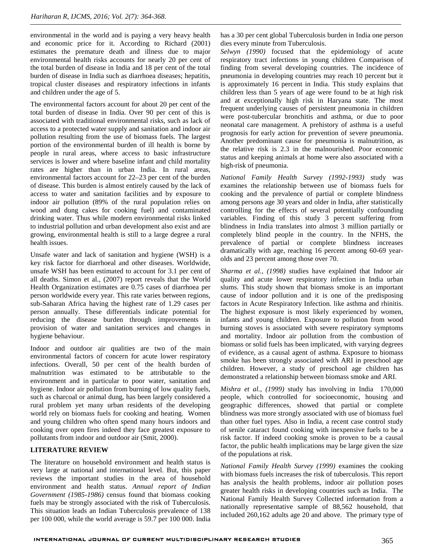environmental in the world and is paying a very heavy health and economic price for it. According to Richard (2001) estimates the premature death and illness due to major environmental health risks accounts for nearly 20 per cent of the total burden of disease in India and 18 per cent of the total burden of disease in India such as diarrhoea diseases; hepatitis, tropical cluster diseases and respiratory infections in infants and children under the age of 5.

The environmental factors account for about 20 per cent of the total burden of disease in India. Over 90 per cent of this is associated with traditional environmental risks, such as lack of access to a protected water supply and sanitation and indoor air pollution resulting from the use of biomass fuels. The largest portion of the environmental burden of ill health is borne by people in rural areas, where access to basic infrastructure services is lower and where baseline infant and child mortality rates are higher than in urban India. In rural areas, environmental factors account for 22–23 per cent of the burden of disease. This burden is almost entirely caused by the lack of access to water and sanitation facilities and by exposure to indoor air pollution (89% of the rural population relies on wood and dung cakes for cooking fuel) and contaminated drinking water. Thus while modern environmental risks linked to industrial pollution and urban development also exist and are growing, environmental health is still to a large degree a rural health issues.

Unsafe water and lack of sanitation and hygiene (WSH) is a key risk factor for diarrhoeal and other diseases. Worldwide, unsafe WSH has been estimated to account for 3.1 per cent of all deaths. Simon et al., (2007) report reveals that the World Health Organization estimates are 0.75 cases of diarrhoea per person worldwide every year. This rate varies between regions, sub-Saharan Africa having the highest rate of 1.29 cases per person annually. These differentials indicate potential for reducing the disease burden through improvements in provision of water and sanitation services and changes in hygiene behaviour.

Indoor and outdoor air qualities are two of the main environmental factors of concern for acute lower respiratory infections. Overall, 50 per cent of the health burden of malnutrition was estimated to be attributable to the environment and in particular to poor water, sanitation and hygiene. Indoor air pollution from burning of low quality fuels, such as charcoal or animal dung, has been largely considered a rural problem yet many urban residents of the developing world rely on biomass fuels for cooking and heating. Women and young children who often spend many hours indoors and cooking over open fires indeed they face greatest exposure to pollutants from indoor and outdoor air (Smit, 2000).

### **LITERATURE REVIEW**

The literature on household environment and health status is very large at national and international level. But, this paper reviews the important studies in the area of household environment and health status. *Annual report of Indian Government (1985-1986)* census found that biomass cooking fuels may be strongly associated with the risk of Tuberculosis. This situation leads an Indian Tuberculosis prevalence of 138 per 100 000, while the world average is 59.7 per 100 000. India

has a 30 per cent global Tuberculosis burden in India one person dies every minute from Tuberculosis.

*Selwyn (1990)* focused that the epidemiology of acute respiratory tract infections in young children Comparison of finding from several developing countries. The incidence of pneumonia in developing countries may reach 10 percent but it is approximately 16 percent in India. This study explains that children less than 5 years of age were found to be at high risk and at exceptionally high risk in Haryana state. The most frequent underlying causes of persistent pneumonia in children were post-tubercular bronchitis and asthma, or due to poor neonatal care management. A prehistory of asthma is a useful prognosis for early action for prevention of severe pneumonia. Another predominant cause for pneumonia is malnutrition, as the relative risk is 2.3 in the malnourished. Poor economic status and keeping animals at home were also associated with a high-risk of pneumonia.

*National Family Health Survey (1992-1993)* study was examines the relationship between use of biomass fuels for cooking and the prevalence of partial or complete blindness among persons age 30 years and older in India, after statistically controlling for the effects of several potentially confounding variables. Finding of this study 3 percent suffering from blindness in India translates into almost 3 million partially or completely blind people in the country. In the NFHS, the prevalence of partial or complete blindness increases dramatically with age, reaching 16 percent among 60-69 year olds and 23 percent among those over 70.

*Sharma et al., (1998)* studies have explained that Indoor air quality and acute lower respiratory infection in India urban slums. This study shown that biomass smoke is an important cause of indoor pollution and it is one of the predisposing factors in Acute Respiratory Infection. like asthma and rhinitis. The highest exposure is most likely experienced by women, infants and young children. Exposure to pollution from wood burning stoves is associated with severe respiratory symptoms and mortality. Indoor air pollution from the combustion of biomass or solid fuels has been implicated, with varying degrees of evidence, as a causal agent of asthma. Exposure to biomass smoke has been strongly associated with ARI in preschool age children. However, a study of preschool age children has demonstrated a relationship between biomass smoke and ARI.

*Mishra et al., (1999)* study has involving in India 170,000 people, which controlled for socioeconomic, housing and geographic differences, showed that partial or complete blindness was more strongly associated with use of biomass fuel than other fuel types. Also in India, a recent case control study of senile cataract found cooking with inexpensive fuels to be a risk factor. If indeed cooking smoke is proven to be a causal factor, the public health implications may be large given the size of the populations at risk.

*National Family Health Survey (1999)* examines the cooking with biomass fuels increases the risk of tuberculosis. This report has analysis the health problems, indoor air pollution poses greater health risks in developing countries such as India. The National Family Health Survey Collected information from a nationally representative sample of 88,562 household, that included 260,162 adults age 20 and above. The primary type of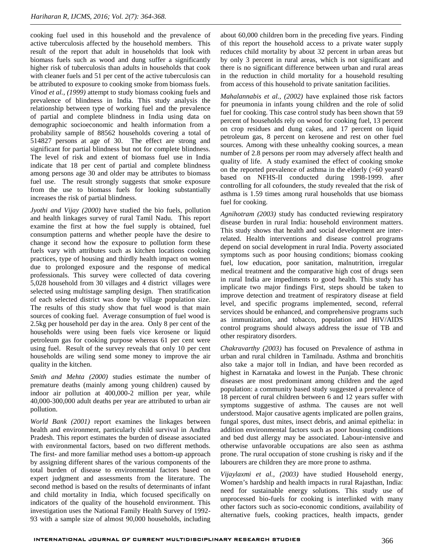cooking fuel used in this household and the prevalence of active tuberculosis affected by the household members. This result of the report that adult in households that look with biomass fuels such as wood and dung suffer a significantly higher risk of tuberculosis than adults in households that cook with cleaner fuels and 51 per cent of the active tuberculosis can be attributed to exposure to cooking smoke from biomass fuels. *Vinod et al., (1999)* attempt to study biomass cooking fuels and prevalence of blindness in India. This study analysis the relationship between type of working fuel and the prevalence of partial and complete blindness in India using data on demographic socioeconomic and health information from a probability sample of 88562 households covering a total of 514827 persons at age of 30. The effect are strong and significant for partial blindness but not for complete blindness. The level of risk and extent of biomass fuel use in India indicate that 18 per cent of partial and complete blindness among persons age 30 and older may be attributes to biomass fuel use. The result strongly suggests that smoke exposure from the use to biomass fuels for looking substantially increases the risk of partial blindness.

*Jyothi and Vijay (2000)* have studied the bio fuels, pollution and health linkages survey of rural Tamil Nadu. This report examine the first at how the fuel supply is obtained, fuel consumption patterns and whether people have the desire to change it second how the exposure to pollution form these fuels vary with attributes such as kitchen locations cooking practices, type of housing and thirdly health impact on women due to prolonged exposure and the response of medical professionals. This survey were collected of data covering 5,028 household from 30 villages and 4 district villages were selected using multistage sampling design. Then stratification of each selected district was done by village population size. The results of this study show that fuel wood is that main sources of cooking fuel. Average consumption of fuel wood is 2.5kg per household per day in the area. Only 8 per cent of the households were using been fuels vice kerosene or liquid petroleum gas for cooking purpose whereas 61 per cent were using fuel. Result of the survey reveals that only 10 per cent households are wiling send some money to improve the air quality in the kitchen.

*Smith and Mehta (2000)* studies estimate the number of premature deaths (mainly among young children) caused by indoor air pollution at 400,000-2 million per year, while 40,000-300,000 adult deaths per year are attributed to urban air pollution.

*World Bank (2001)* report examines the linkages between health and environment, particularly child survival in Andhra Pradesh. This report estimates the burden of disease associated with environmental factors, based on two different methods. The first- and more familiar method uses a bottom-up approach by assigning different shares of the various components of the total burden of disease to environmental factors based on expert judgment and assessments from the literature. The second method is based on the results of determinants of infant and child mortality in India, which focused specifically on indicators of the quality of the household environment. This investigation uses the National Family Health Survey of 1992- 93 with a sample size of almost 90,000 households, including

about 60,000 children born in the preceding five years. Finding of this report the household access to a private water supply reduces child mortality by about 32 percent in urban areas but by only 3 percent in rural areas, which is not significant and there is no significant difference between urban and rural areas in the reduction in child mortality for a household resulting from access of this household to private sanitation facilities.

*Mahalannabis et al., (2002)* have explained those risk factors for pneumonia in infants young children and the role of solid fuel for cooking. This case control study has been shown that 59 percent of households rely on wood for cooking fuel, 13 percent on crop residues and dung cakes, and 17 percent on liquid petroleum gas, 8 percent on kerosene and rest on other fuel sources. Among with these unhealthy cooking sources, a mean number of 2.8 persons per room may adversely affect health and quality of life. A study examined the effect of cooking smoke on the reported prevalence of asthma in the elderly (>60 years0 based on NFHS-II conducted during 1998-1999. after controlling for all cofounders, the study revealed that the risk of asthma is 1.59 times among rural households that use biomass fuel for cooking.

*Agnihotram (2003)* study has conducted reviewing respiratory disease burden in rural India: household environment matters. This study shows that health and social development are interrelated. Health interventions and disease control programs depend on social development in rural India. Poverty associated symptoms such as poor housing conditions; biomass cooking fuel, low education, poor sanitation, malnutrition, irregular medical treatment and the comparative high cost of drugs seen in rural India are impediments to good health. This study has implicate two major findings First, steps should be taken to improve detection and treatment of respiratory disease at field level, and specific programs implemented, second, referral services should be enhanced, and comprehensive programs such as immunization, and tobacco, population and HIV/AIDS control programs should always address the issue of TB and other respiratory disorders.

*Chakravarthy (2003)* has focused on Prevalence of asthma in urban and rural children in Tamilnadu. Asthma and bronchitis also take a major toll in Indian, and have been recorded as highest in Karnataka and lowest in the Punjab. These chronic diseases are most predominant among children and the aged population: a community based study suggested a prevalence of 18 percent of rural children between 6 and 12 years suffer with symptoms suggestive of asthma. The causes are not well understood. Major causative agents implicated are pollen grains, fungal spores, dust mites, insect debris, and animal epithelia: in addition environmental factors such as poor housing conditions and bed dust allergy may be associated. Labour-intensive and otherwise unfavorable occupations are also seen as asthma prone. The rural occupation of stone crushing is risky and if the labourers are children they are more prone to asthma.

*Vijaylaxmi et al., (2003)* have studied Household energy, Women's hardship and health impacts in rural Rajasthan, India: need for sustainable energy solutions. This study use of unprocessed bio-fuels for cooking is interlinked with many other factors such as socio-economic conditions, availability of alternative fuels, cooking practices, health impacts, gender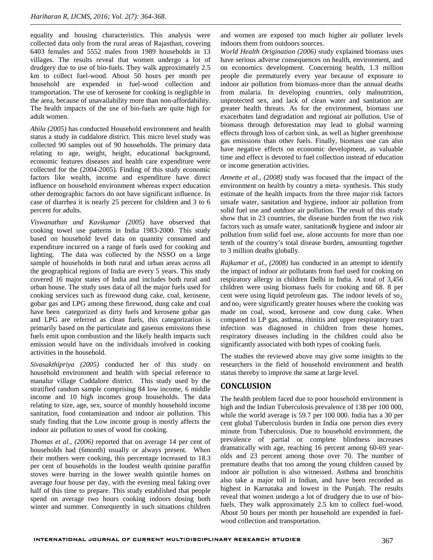equality and housing characteristics. This analysis were collected data only from the rural areas of Rajasthan, covering 6403 females and 5552 males from 1989 households in 13 villages. The results reveal that women undergo a lot of drudgery due to use of bio-fuels. They walk approximately 2.5 km to collect fuel-wood. About 50 hours per month per household are expended in fuel-wood collection and transportation. The use of kerosene for cooking is negligible in the area, because of unavailability more than non-affordability. The health impacts of the use of bio-fuels are quite high for adult women.

*Ahila (2005)* has conducted Household environment and health status a study in cuddalore district. This micro level study was collected 90 samples out of 90 households. The primary data relating to age, weight, height, educational background, economic features diseases and health care expenditure were collected for the (2004-2005). Finding of this study economic factors like wealth, income and expenditure have direct influence on household environment whereas expect education other demographic factors do not have significant influence. In case of diarrhea it is nearly 25 percent for children and 3 to 6 percent for adults.

*Viswanathan and Kavikumar (2005)* have observed that cooking towel use patterns in India 1983-2000. This study based on household level data on quantity consumed and expenditure incurred on a range of fuels used for cooking and lighting. The data was collected by the NSSO on a large sample of households in both rural and urban areas across all the geographical regions of India are every 5 years. This study covered 16 major states of India and includes both rural and urban house. The study uses data of all the major fuels used for cooking services such as firewood dung cake, coal, kerosene, gobar gas and LPG among these firewood, dung cake and coal have been categorized as dirty fuels and kerosene gobar gas and LPG are referred as clean fuels, this categorization is primarily based on the particulate and gaseous emissions these fuels emit upon combustion and the likely health impacts such emission would have on the individuals involved in cooking activities in the household.

*Sivasakthipriya (2005)* conducted her of this study on household environment and health with special reference to manalur village Cuddalore district. This study used by the stratified random sample comprising 84 low income, 6 middle income and 10 high incomes group households. The data relating to size, age, sex, source of monthly household income sanitation, food contamination and indoor air pollution. This study finding that the Low income group is mostly affects the indoor air pollution to uses of wood for cooking.

*Thomas et al., (2006)* reported that on average 14 per cent of households had (6month) usually or always present. When their mothers were cooking, this percentage increased to 18.3 per cent of households in the loudest wealth quinine paraffin stoves were burring in the lower wealth quintile homes on average four house per day, with the evening meal faking over half of this time to prepare. This study established that people spend on average two hours cooking indoors dosing both winter and summer. Consequently in such situations children

and women are exposed too much higher air polluter levels indoors them from outdoors sources.

*World Health Origination (2006)* study explained biomass uses have serious adverse consequences on health, environment, and on economics development. Concerning health, 1.3 million people die prematurely every year because of exposure to indoor air pollution from biomass-more than the annual deaths from malaria. In developing countries, only malnutrition, unprotected sex, and lack of clean water and sanitation are greater health threats. As for the environment, biomass use exacerbates land degradation and regional air pollution. Use of biomass through deforestation may lead to global warming effects through loss of carbon sink, as well as higher greenhouse gas emissions than other fuels. Finally, biomass use can also have negative effects on economic development, as valuable time and effect is devoted to fuel collection instead of education or income generation activities.

*Annette et al., (2008)* study was focused that the impact of the environment on health by country a meta- synthesis. This study estimate of the health impacts from the three major risk factors unsafe water, sanitation and hygiene, indoor air pollution from solid fuel use and outdoor air pollution. The result of this study show that in 23 countries, the disease burden from the two risk factors such as unsafe water, sanitation& hygiene and indoor air pollution from solid fuel use, alone accounts for more than one tenth of the country's total disease burden, amounting together to 3 million deaths globally.

*Rajkumar et al., (2008)* has conducted in an attempt to identify the impact of indoor air pollutants from fuel used for cooking on respiratory allergy in children Delhi in India. A total of 3,456 children were using biomass fuels for cooking and 68. 8 per cent were using liquid petroleum gas. The indoor levels of  $so<sub>2</sub>$ , and  $no<sub>2</sub>$  were significantly greater houses where the cooking was made on coal, wood, kerosene and cow dung cake. When compared to LP gas, asthma, rhinitis and upper respiratory tract infection was diagnosed in children from these homes, respiratory diseases including in the children could also be significantly associated with both types of cooking fuels.

The studies the reviewed above may give some insights to the researchers in the field of household environment and health status thereby to improve the same at large level.

## **CONCLUSION**

The health problem faced due to poor household environment is high and the Indian Tuberculosis prevalence of 138 per 100 000, while the world average is 59.7 per 100 000. India has a 30 per cent global Tuberculosis burden in India one person dies every minute from Tuberculosis. Due to household environment, the prevalence of partial or complete blindness increases dramatically with age, reaching 16 percent among 60-69 year olds and 23 percent among those over 70. The number of premature deaths that too among the young children caused by indoor air pollution is also witnessed. Asthma and bronchitis also take a major toll in Indian, and have been recorded as highest in Karnataka and lowest in the Punjab. The results reveal that women undergo a lot of drudgery due to use of biofuels. They walk approximately 2.5 km to collect fuel-wood. About 50 hours per month per household are expended in fuel wood collection and transportation.